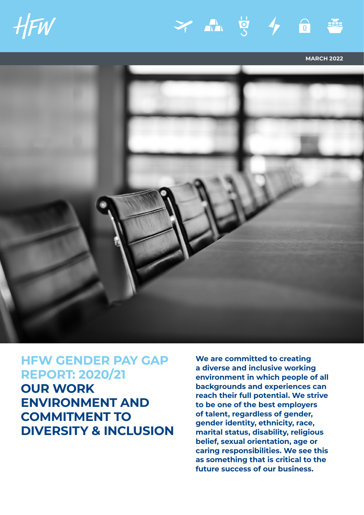







**MARCH 2022**



**HFW GENDER PAY GAP REPORT: 2020/21 OUR WORK ENVIRONMENT AND COMMITMENT TO DIVERSITY & INCLUSION** **We are committed to creating a diverse and inclusive working environment in which people of all backgrounds and experiences can reach their full potential. We strive to be one of the best employers of talent, regardless of gender, gender identity, ethnicity, race, marital status, disability, religious belief, sexual orientation, age or caring responsibilities. We see this as something that is critical to the future success of our business.**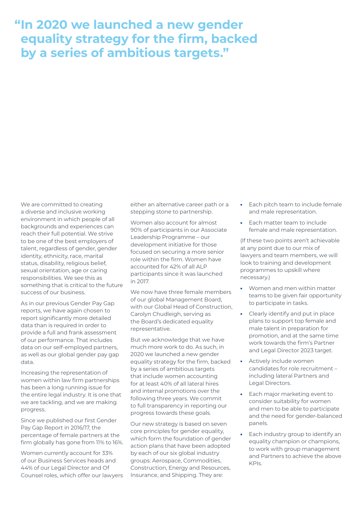# **"In 2020 we launched a new gender equality strategy for the firm, backed by a series of ambitious targets."**

We are committed to creating a diverse and inclusive working environment in which people of all backgrounds and experiences can reach their full potential. We strive to be one of the best employers of talent, regardless of gender, gender identity, ethnicity, race, marital status, disability, religious belief, sexual orientation, age or caring responsibilities. We see this as something that is critical to the future success of our business.

As in our previous Gender Pay Gap reports, we have again chosen to report significantly more detailed data than is required in order to provide a full and frank assessment of our performance. That includes data on our self-employed partners, as well as our global gender pay gap data.

Increasing the representation of women within law firm partnerships has been a long running issue for the entire legal industry. It is one that we are tackling, and we are making progress.

Since we published our first Gender Pay Gap Report in 2016/17, the percentage of female partners at the firm globally has gone from 11% to 16%.

Women currently account for 33% of our Business Services heads and 44% of our Legal Director and Of Counsel roles, which offer our lawyers either an alternative career path or a stepping stone to partnership.

Women also account for almost 90% of participants in our Associate Leadership Programme – our development initiative for those focused on securing a more senior role within the firm. Women have accounted for 42% of all ALP participants since it was launched in 2017.

We now have three female members of our global Management Board, with our Global Head of Construction, Carolyn Chudleigh, serving as the Board's dedicated equality representative.

But we acknowledge that we have much more work to do. As such, in 2020 we launched a new gender equality strategy for the firm, backed by a series of ambitious targets that include women accounting for at least 40% of all lateral hires and internal promotions over the following three years. We commit to full transparency in reporting our progress towards these goals.

Our new strategy is based on seven core principles for gender equality, which form the foundation of gender action plans that have been adopted by each of our six global industry groups: Aerospace, Commodities, Construction, Energy and Resources, Insurance, and Shipping. They are:

- **•** Each pitch team to include female and male representation.
- **•** Each matter team to include female and male representation.

(If these two points aren't achievable at any point due to our mix of lawyers and team members, we will look to training and development programmes to upskill where necessary.)

- **•** Women and men within matter teams to be given fair opportunity to participate in tasks.
- **•** Clearly identify and put in place plans to support top female and male talent in preparation for promotion, and at the same time work towards the firm's Partner and Legal Director 2023 target.
- **•** Actively include women candidates for role recruitment – including lateral Partners and Legal Directors.
- **•** Each major marketing event to consider suitability for women and men to be able to participate and the need for gender-balanced panels.
- **•** Each industry group to identify an equality champion or champions, to work with group management and Partners to achieve the above KPIs.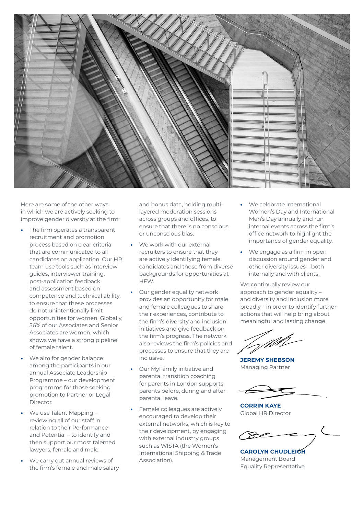

Here are some of the other ways in which we are actively seeking to improve gender diversity at the firm:

- **•** The firm operates a transparent recruitment and promotion process based on clear criteria that are communicated to all candidates on application. Our HR team use tools such as interview guides, interviewer training, post-application feedback, and assessment based on competence and technical ability, to ensure that these processes do not unintentionally limit opportunities for women. Globally, 56% of our Associates and Senior Associates are women, which shows we have a strong pipeline of female talent.
- **•** We aim for gender balance among the participants in our annual Associate Leadership Programme – our development programme for those seeking promotion to Partner or Legal Director.
- **•** We use Talent Mapping reviewing all of our staff in relation to their Performance and Potential – to identify and then support our most talented lawyers, female and male.
- **•** We carry out annual reviews of the firm's female and male salary

and bonus data, holding multilayered moderation sessions across groups and offices, to ensure that there is no conscious or unconscious bias.

- **•** We work with our external recruiters to ensure that they are actively identifying female candidates and those from diverse backgrounds for opportunities at HFW.
- **•** Our gender equality network provides an opportunity for male and female colleagues to share their experiences, contribute to the firm's diversity and inclusion initiatives and give feedback on the firm's progress. The network also reviews the firm's policies and processes to ensure that they are inclusive.
- **•** Our MyFamily initiative and parental transition coaching for parents in London supports parents before, during and after parental leave.
- **•** Female colleagues are actively encouraged to develop their external networks, which is key to their development, by engaging with external industry groups such as WISTA (the Women's International Shipping & Trade Association).
- **•** We celebrate International Women's Day and International Men's Day annually and run internal events across the firm's office network to highlight the importance of gender equality.
- **•** We engage as a firm in open discussion around gender and other diversity issues – both internally and with clients.

We continually review our approach to gender equality and diversity and inclusion more broadly – in order to identify further actions that will help bring about meaningful and lasting change.

**JEREMY SHEBSON** Managing Partner

**CORRIN KAYE** Global HR Director

**CAROLYN CHUDLEIGH** Management Board Equality Representative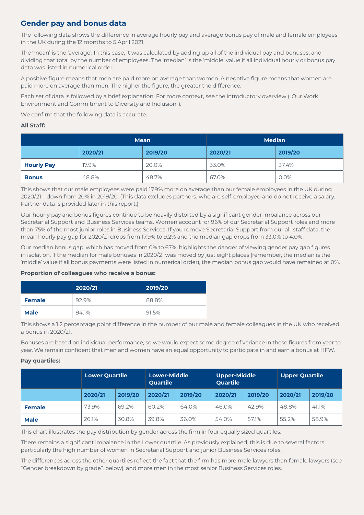# **Gender pay and bonus data**

The following data shows the difference in average hourly pay and average bonus pay of male and female employees in the UK during the 12 months to 5 April 2021.

The 'mean' is the 'average'. In this case, it was calculated by adding up all of the individual pay and bonuses, and dividing that total by the number of employees. The 'median' is the 'middle' value if all individual hourly or bonus pay data was listed in numerical order.

A positive figure means that men are paid more on average than women. A negative figure means that women are paid more on average than men. The higher the figure, the greater the difference.

Each set of data is followed by a brief explanation. For more context, see the introductory overview ("Our Work Environment and Commitment to Diversity and Inclusion").

We confirm that the following data is accurate.

### **All Staff:**

|                   |         | <b>Mean</b> | <b>Median</b> |         |  |
|-------------------|---------|-------------|---------------|---------|--|
|                   | 2020/21 | 2019/20     | 2020/21       | 2019/20 |  |
| <b>Hourly Pay</b> | 17.9%   | 20.0%       | 33.0%         | 37.4%   |  |
| <b>Bonus</b>      | 48.8%   | 48.7%       | 67.0%         | $0.0\%$ |  |

This shows that our male employees were paid 17.9% more on average than our female employees in the UK during 2020/21 – down from 20% in 2019/20. (This data excludes partners, who are self-employed and do not receive a salary. Partner data is provided later in this report.)

Our hourly pay and bonus figures continue to be heavily distorted by a significant gender imbalance across our Secretarial Support and Business Services teams. Women account for 96% of our Secretarial Support roles and more than 75% of the most junior roles in Business Services. If you remove Secretarial Support from our all-staff data, the mean hourly pay gap for 2020/21 drops from 17.9% to 9.2% and the median gap drops from 33.0% to 4.0%.

Our median bonus gap, which has moved from 0% to 67%, highlights the danger of viewing gender pay gap figures in isolation. If the median for male bonuses in 2020/21 was moved by just eight places (remember, the median is the 'middle' value if all bonus payments were listed in numerical order), the median bonus gap would have remained at 0%.

### **Proportion of colleagues who receive a bonus:**

|               | 2020/21 | 2019/20 |
|---------------|---------|---------|
| <b>Female</b> | 92.9%   | 88.8%   |
| <b>Male</b>   | 94.1%   | 91.5%   |

This shows a 1.2 percentage point difference in the number of our male and female colleagues in the UK who received a bonus in 2020/21.

Bonuses are based on individual performance, so we would expect some degree of variance in these figures from year to year. We remain confident that men and women have an equal opportunity to participate in and earn a bonus at HFW.

### **Pay quartiles:**

|               | <b>Lower Quartile</b> |         | <b>Lower-Middle</b><br><b>Quartile</b> |         | <b>Upper-Middle</b><br><b>Quartile</b> |         | <b>Upper Quartile</b> |         |
|---------------|-----------------------|---------|----------------------------------------|---------|----------------------------------------|---------|-----------------------|---------|
|               | 2020/21               | 2019/20 | 2020/21                                | 2019/20 | 2020/21                                | 2019/20 | 2020/21               | 2019/20 |
| <b>Female</b> | 73.9%                 | 69.2%   | 60.2%                                  | 64.0%   | 46.0%                                  | 42.9%   | 48.8%                 | 41.1%   |
| <b>Male</b>   | 26.1%                 | 30.8%   | 39.8%                                  | 36.0%   | 54.0%                                  | 57.1%   | 55.2%                 | 58.9%   |

This chart illustrates the pay distribution by gender across the firm in four equally sized quartiles.

**CORPORATE BRIEFING APRIL 2017** There remains a significant imbalance in the Lower quartile. As previously explained, this is due to several factors, particularly the high number of women in Secretarial Support and junior Business Services roles.

The differences across the other quartiles reflect the fact that the firm has more male lawyers than female lawyers (see "Gender breakdown by grade", below), and more men in the most senior Business Services roles.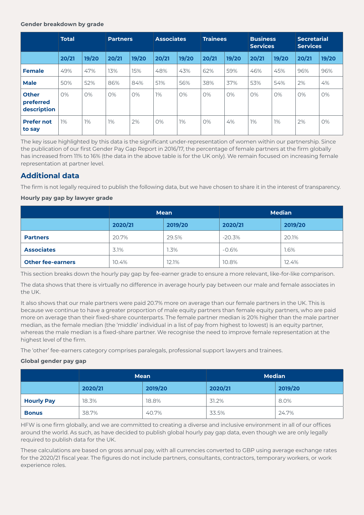### **Gender breakdown by grade**

|                                          | <b>Total</b> |       | <b>Partners</b> |       | <b>Associates</b> |       | <b>Trainees</b> |       | <b>Business</b><br><b>Services</b> |       | <b>Secretarial</b><br><b>Services</b> |       |
|------------------------------------------|--------------|-------|-----------------|-------|-------------------|-------|-----------------|-------|------------------------------------|-------|---------------------------------------|-------|
|                                          | 20/21        | 19/20 | 20/21           | 19/20 | 20/21             | 19/20 | 20/21           | 19/20 | 20/21                              | 19/20 | 20/21                                 | 19/20 |
| <b>Female</b>                            | 49%          | 47%   | 13%             | 15%   | 48%               | 43%   | 62%             | 59%   | 46%                                | 45%   | 96%                                   | 96%   |
| <b>Male</b>                              | 50%          | 52%   | 86%             | 84%   | 51%               | 56%   | 38%             | 37%   | 53%                                | 54%   | 2%                                    | 4%    |
| <b>Other</b><br>preferred<br>description | O%           | O%    | O%              | O%    | $1\%$             | 0%    | O%              | 0%    | 0%                                 | 0%    | O%                                    | 0%    |
| <b>Prefer not</b><br>to say              | $1\%$        | 1%    | $1\%$           | 2%    | O%                | 1%    | O%              | 4%    | 1%                                 | 1%    | 2%                                    | 0%    |

The key issue highlighted by this data is the significant under-representation of women within our partnership. Since the publication of our first Gender Pay Gap Report in 2016/17, the percentage of female partners at the firm globally has increased from 11% to 16% (the data in the above table is for the UK only). We remain focused on increasing female representation at partner level.

## **Additional data**

The firm is not legally required to publish the following data, but we have chosen to share it in the interest of transparency.

### **Hourly pay gap by lawyer grade**

|                          |                    | <b>Mean</b> | <b>Median</b> |         |  |
|--------------------------|--------------------|-------------|---------------|---------|--|
|                          | 2020/21<br>2019/20 |             | 2020/21       | 2019/20 |  |
| <b>Partners</b>          | 20.7%              | 29.5%       | $-20.3%$      | 20.1%   |  |
| <b>Associates</b>        | 3.1%               | 1.3%        | $-0.6%$       | 1.6%    |  |
| <b>Other fee-earners</b> | 10.4%              | 12.1%       | 10.8%         | 12.4%   |  |

This section breaks down the hourly pay gap by fee-earner grade to ensure a more relevant, like-for-like comparison.

The data shows that there is virtually no difference in average hourly pay between our male and female associates in the UK.

It also shows that our male partners were paid 20.7% more on average than our female partners in the UK. This is because we continue to have a greater proportion of male equity partners than female equity partners, who are paid more on average than their fixed-share counterparts. The female partner median is 20% higher than the male partner median, as the female median (the 'middle' individual in a list of pay from highest to lowest) is an equity partner, whereas the male median is a fixed-share partner. We recognise the need to improve female representation at the highest level of the firm.

The 'other' fee-earners category comprises paralegals, professional support lawyers and trainees.

### **Global gender pay gap**

|                   | <b>Mean</b> |         | <b>Median</b> |         |  |
|-------------------|-------------|---------|---------------|---------|--|
|                   | 2020/21     | 2019/20 | 2020/21       | 2019/20 |  |
| <b>Hourly Pay</b> | 18.3%       | 18.8%   | 31.2%         | 8.0%    |  |
| <b>Bonus</b>      | 38.7%       | 40.7%   | 33.5%         | 24.7%   |  |

HFW is one firm globally, and we are committed to creating a diverse and inclusive environment in all of our offices around the world. As such, as have decided to publish global hourly pay gap data, even though we are only legally required to publish data for the UK.

These calculations are based on gross annual pay, with all currencies converted to GBP using average exchange rates for the 2020/21 fiscal year. The figures do not include partners, consultants, contractors, temporary workers, or work experience roles.